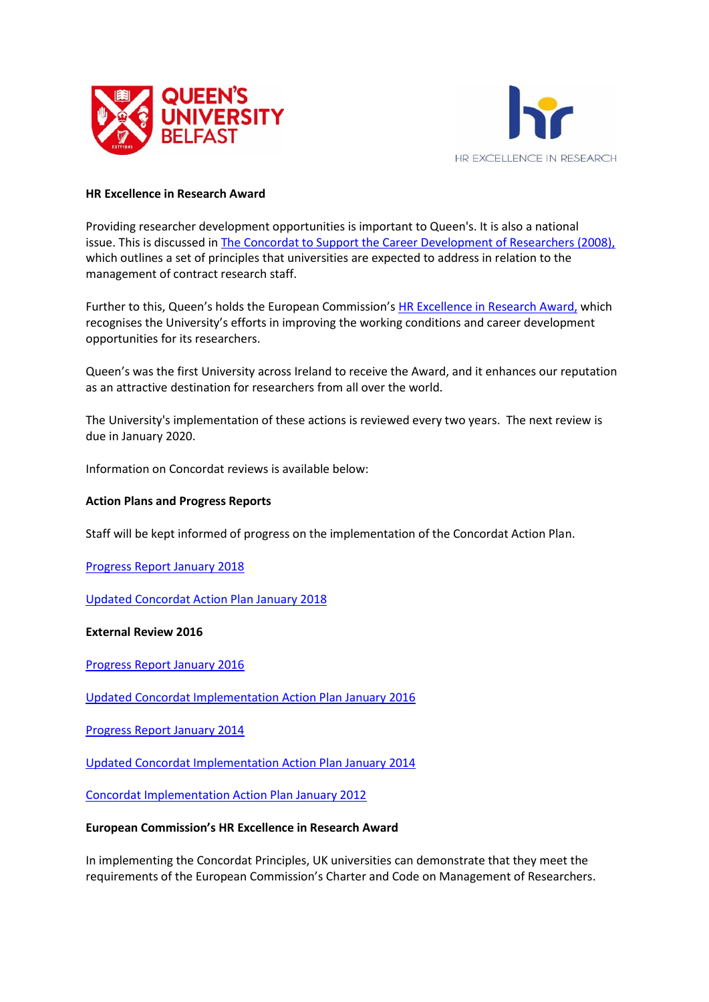



#### **HR Excellence in Research Award**

Providing researcher development opportunities is important to Queen's. It is also a national issue. This is discussed in [The Concordat to Support the Career Development of Researchers \(2008\),](https://www.qub.ac.uk/directorates/HumanResources/hr-filestore/Filetoupload,865554,en.pdf) which outlines a set of principles that universities are expected to address in relation to the management of contract research staff.

Further to this, Queen's holds the European Commission's [HR Excellence in Research Award,](https://euraxess.ec.europa.eu/jobs/hrs4r) which recognises the University's efforts in improving the working conditions and career development opportunities for its researchers.

Queen's was the first University across Ireland to receive the Award, and it enhances our reputation as an attractive destination for researchers from all over the world.

The University's implementation of these actions is reviewed every two years. The next review is due in January 2020.

Information on Concordat reviews is available below:

#### **Action Plans and Progress Reports**

Staff will be kept informed of progress on the implementation of the Concordat Action Plan.

[Progress Report January 2018](https://www.qub.ac.uk/directorates/HumanResources/hr-filestore/Filetoupload,865531,en.pdf)

[Updated Concordat Action Plan January 2018](https://www.qub.ac.uk/directorates/HumanResources/hr-filestore/Filetoupload,865530,en.pdf)

**External Review 2016**

[Progress Report January 2016](https://www.qub.ac.uk/directorates/HumanResources/hr-filestore/Filetoupload,865528,en.pdf)

[Updated Concordat Implementation Action Plan January 2016](https://www.qub.ac.uk/directorates/HumanResources/hr-filestore/Filetoupload,865527,en.pdf)

[Progress Report January 2014](https://www.qub.ac.uk/directorates/HumanResources/hr-filestore/Filetoupload,865525,en.pdf)

[Updated Concordat Implementation Action Plan January 2014](https://www.qub.ac.uk/directorates/HumanResources/hr-filestore/Filetoupload,865526,en.pdf)

[Concordat Implementation Action Plan January 2012](https://www.qub.ac.uk/directorates/HumanResources/hr-filestore/Filetoupload,865556,en.pdf)

#### **European Commission's HR Excellence in Research Award**

In implementing the Concordat Principles, UK universities can demonstrate that they meet the requirements of the European Commission's Charter and Code on Management of Researchers.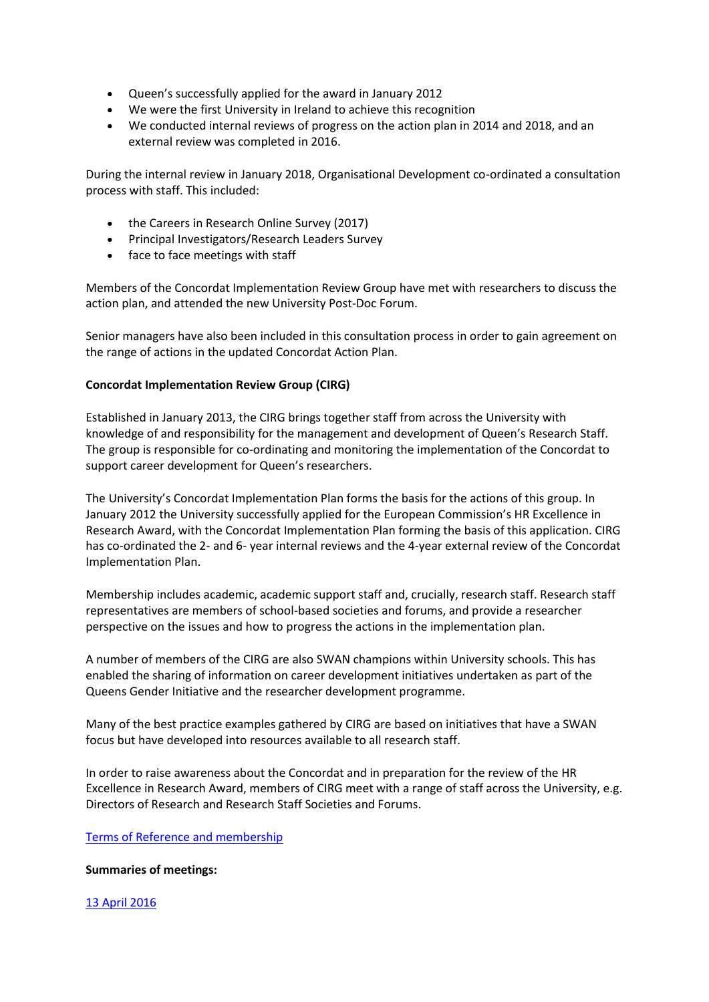- Queen's successfully applied for the award in January 2012
- We were the first University in Ireland to achieve this recognition
- We conducted internal reviews of progress on the action plan in 2014 and 2018, and an external review was completed in 2016.

During the internal review in January 2018, Organisational Development co-ordinated a consultation process with staff. This included:

- the Careers in Research Online Survey (2017)
- Principal Investigators/Research Leaders Survey
- face to face meetings with staff

Members of the Concordat Implementation Review Group have met with researchers to discuss the action plan, and attended the new University Post-Doc Forum.

Senior managers have also been included in this consultation process in order to gain agreement on the range of actions in the updated Concordat Action Plan.

# **Concordat Implementation Review Group (CIRG)**

Established in January 2013, the CIRG brings together staff from across the University with knowledge of and responsibility for the management and development of Queen's Research Staff. The group is responsible for co-ordinating and monitoring the implementation of the Concordat to support career development for Queen's researchers.

The University's Concordat Implementation Plan forms the basis for the actions of this group. In January 2012 the University successfully applied for the European Commission's HR Excellence in Research Award, with the Concordat Implementation Plan forming the basis of this application. CIRG has co-ordinated the 2- and 6- year internal reviews and the 4-year external review of the Concordat Implementation Plan.

Membership includes academic, academic support staff and, crucially, research staff. Research staff representatives are members of school-based societies and forums, and provide a researcher perspective on the issues and how to progress the actions in the implementation plan.

A number of members of the CIRG are also SWAN champions within University schools. This has enabled the sharing of information on career development initiatives undertaken as part of the Queens Gender Initiative and the researcher development programme.

Many of the best practice examples gathered by CIRG are based on initiatives that have a SWAN focus but have developed into resources available to all research staff.

In order to raise awareness about the Concordat and in preparation for the review of the HR Excellence in Research Award, members of CIRG meet with a range of staff across the University, e.g. Directors of Research and Research Staff Societies and Forums.

# [Terms of Reference and membership](https://www.qub.ac.uk/directorates/HumanResources/hr-filestore/Filetoupload,865553,en.pdf)

# **Summaries of meetings:**

# [13 April 2016](https://www.qub.ac.uk/directorates/HumanResources/hr-filestore/Filetoupload,865534,en.pdf)